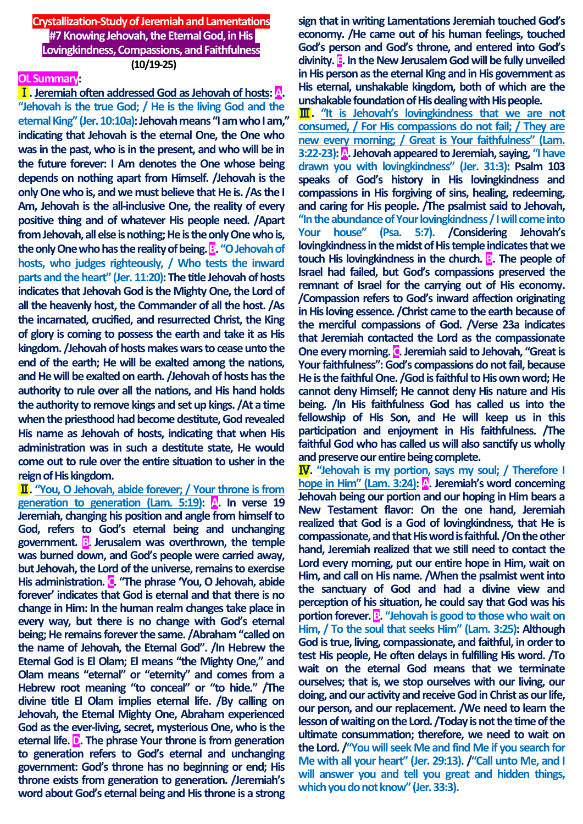**Crystallization-Study of Jeremiah and Lamentations #7Knowing Jehovah, the Eternal God, in His Lovingkindness, Compassions, and Faithfulness (10/19-25)**

## **OL Summary:**

Ⅰ**. Jeremiah often addressed God as Jehovah of hosts: A. "Jehovah is the true God; / He is the living God and the eternal King" (Jer. 10:10a): Jehovah means "I am who I am," indicating that Jehovah is the eternal One, the One who was in the past, who is in the present, and who will be in the future forever: I Am denotes the One whose being depends on nothing apart from Himself. /Jehovah is the only One who is, and we must believe that He is. /As the I Am, Jehovah is the all-inclusive One, the reality of every positive thing and of whatever His people need. /Apart from Jehovah, all else is nothing; He is the only One who is, the only One who has the reality of being. B. "O Jehovah of hosts, who judges righteously, / Who tests the inward parts and the heart" (Jer. 11:20): The title Jehovah of hosts indicates that Jehovah God is the Mighty One, the Lord of all the heavenly host, the Commander of all the host. /As the incarnated, crucified, and resurrected Christ, the King of glory is coming to possess the earth and take it as His kingdom. /Jehovah of hosts makes warsto cease unto the end of the earth; He will be exalted among the nations, and He will be exalted on earth. /Jehovah of hosts has the authority to rule over all the nations, and His hand holds the authority to remove kings and set up kings. /At a time**  when the priesthood had become destitute, God revealed **His name as Jehovah of hosts, indicating that when His administration was in such a destitute state, He would come out to rule over the entire situation to usher in the reign of His kingdom.**

Ⅱ**. "You, O Jehovah, abide forever; / Your throne is from generation to generation (Lam. 5:19): A. In verse 19 Jeremiah, changing his position and angle from himself to God, refers to God's eternal being and unchanging government. B. Jerusalem was overthrown, the temple was burned down, and God's people were carried away, but Jehovah, the Lord of the universe, remains to exercise His administration. C. "The phrase 'You, O Jehovah, abide forever' indicates that God is eternal and that there is no change in Him: In the human realm changes take place in every way, but there is no change with God's eternal being; He remains forever the same. /Abraham "called on the name of Jehovah, the Eternal God". /In Hebrew the Eternal God is El Olam; El means "the Mighty One," and Olam means "eternal" or "eternity" and comes from a Hebrew root meaning "to conceal" or "to hide." /The divine title El Olam implies eternal life. /By calling on Jehovah, the Eternal Mighty One, Abraham experienced God as the ever-living, secret, mysterious One, who is the eternal life. D. The phrase Your throne is from generation to generation refers to God's eternal and unchanging government: God's throne has no beginning or end; His throne exists from generation to generation. /Jeremiah's word about God's eternal being and His throne is a strong** 

**sign that in writing Lamentations Jeremiah touched God's economy. /He came out of his human feelings, touched God's person and God's throne, and entered into God's divinity. E. In the New Jerusalem God will be fully unveiled in His person as the eternal King and in His government as His eternal, unshakable kingdom, both of which are the unshakable foundation of His dealing with His people.**

**III.** "It is Jehovah's lovingkindness that we are not **consumed, / For His compassions do not fail; / They are new every morning; / Great is Your faithfulness" (Lam. 3:22-23): A. Jehovah appeared to Jeremiah, saying, "I have drawn you with lovingkindness" (Jer. 31:3): Psalm 103 speaks of God's history in His lovingkindness and compassions in His forgiving of sins, healing, redeeming, and caring for His people. /The psalmist said to Jehovah, "In the abundance of Your lovingkindness / I will come into Your house" (Psa. 5:7). /Considering Jehovah's lovingkindness in the midst of His temple indicates that we touch His lovingkindness in the church. B. The people of Israel had failed, but God's compassions preserved the remnant of Israel for the carrying out of His economy. /Compassion refers to God's inward affection originating in His loving essence. /Christ came to the earth because of the merciful compassions of God. /Verse 23a indicates that Jeremiah contacted the Lord as the compassionate One every morning. C. Jeremiah said to Jehovah, "Great is Your faithfulness":God's compassions do not fail, because He is the faithful One. /God is faithful to His own word; He cannot deny Himself; He cannot deny His nature and His being. /In His faithfulness God has called us into the fellowship of His Son, and He will keep us in this participation and enjoyment in His faithfulness. /The faithful God who has called us will also sanctify us wholly and preserve our entire being complete.**

Ⅳ**. "Jehovah is my portion, says my soul; / Therefore I hope in Him" (Lam. 3:24):** A leremiah's word concerning **Jehovah being our portion and our hoping in Him bears a New Testament flavor: On the one hand, Jeremiah realized that God is a God of lovingkindness, that He is compassionate, and that His word is faithful. /On the other hand, Jeremiah realized that we still need to contact the Lord every morning, put our entire hope in Him, wait on Him, and call on His name. /When the psalmist went into the sanctuary of God and had a divine view and perception of his situation, he could say that God was his portion forever. B.** "Jehovah is good to those who wait on **Him, / To the soul that seeks Him" (Lam. 3:25): Although God is true, living, compassionate, and faithful, in order to test His people, He often delays in fulfilling His word. /To wait on the eternal God means that we terminate ourselves; that is, we stop ourselves with our living, our doing, and our activity and receive God in Christ as our life, our person, and our replacement. /We need to learn the lesson of waiting on the Lord. /Today is not the time of the ultimate consummation; therefore, we need to wait on the Lord. /"You will seek Me and find Me if you search for Me with all your heart" (Jer. 29:13). /"Call unto Me, and I will answer you and tell you great and hidden things, which you do not know" (Jer. 33:3).**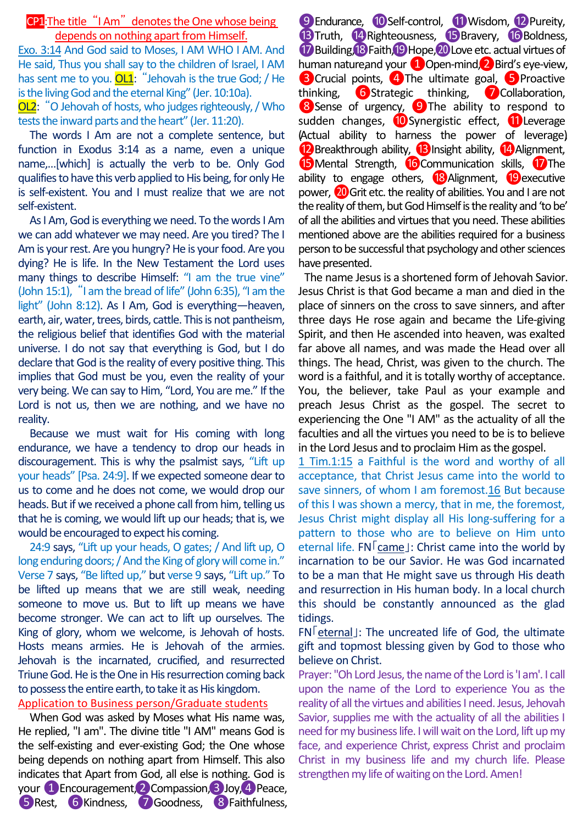## CP1:The title "I Am" denotes the One whose being depends on nothing apart from Himself.

Exo. 3:14 And God said to Moses, I AM WHO I AM. And He said, Thus you shall say to the children of Israel, I AM has sent me to you.  $OL1:$  "Jehovah is the true God; / He is the living God and the eternal King" (Jer. 10:10a).

OL2: "O Jehovah of hosts, who judges righteously, / Who tests the inward parts and the heart" (Jer. 11:20).

The words I Am are not a complete sentence, but function in Exodus 3:14 as a name, even a unique name,…[which] is actually the verb to be. Only God qualifies to have this verb applied to His being, for only He is self-existent. You and I must realize that we are not self-existent.

As I Am, God is everything we need. To the words I Am we can add whatever we may need. Are you tired? The I Am is your rest. Are you hungry? He is your food. Are you dying? He is life. In the New Testament the Lord uses many things to describe Himself: "I am the true vine" (John 15:1), "I am the bread of life" (John 6:35), "I am the light" (John 8:12). As I Am, God is everything—heaven, earth, air, water, trees, birds, cattle. This is not pantheism, the religious belief that identifies God with the material universe. I do not say that everything is God, but I do declare that God is the reality of every positive thing. This implies that God must be you, even the reality of your very being. We can say to Him, "Lord, You are me." If the Lord is not us, then we are nothing, and we have no reality.

Because we must wait for His coming with long endurance, we have a tendency to drop our heads in discouragement. This is why the psalmist says, "Lift up your heads" [Psa. 24:9]. If we expected someone dear to us to come and he does not come, we would drop our heads. But if we received a phone call from him, telling us that he is coming, we would lift up our heads; that is, we would be encouraged to expect his coming.

24:9 says, "Lift up your heads, O gates; / And lift up, O long enduring doors; / And the King of glory will come in." Verse 7 says, "Be lifted up," but verse 9 says, "Lift up." To be lifted up means that we are still weak, needing someone to move us. But to lift up means we have become stronger. We can act to lift up ourselves. The King of glory, whom we welcome, is Jehovah of hosts. Hosts means armies. He is Jehovah of the armies. Jehovah is the incarnated, crucified, and resurrected Triune God. He is the One in His resurrection coming back to possess the entire earth, to take it as His kingdom.

# Application to Business person/Graduate students

When God was asked by Moses what His name was, He replied, "I am". The divine title "I AM" means God is the self-existing and ever-existing God; the One whose being depends on nothing apart from Himself. This also indicates that Apart from God, all else is nothing. God is your **1** Encouragement, 2 Compassion, 3 Joy, 4 Peace, **5 Rest, 6 Kindness, 7 Goodness, 8 Faithfulness,** 

**9 Endurance,** *i***O** Self-control, **10** Wisdom, **12** Pureity, **13 Truth, 14 Righteousness, 15 Bravery, 16 Boldness,** *D* Building, **B** Faith, **P** Hope, *Q* Love etc. actual virtues of human nature,and your  $\bigoplus$  Open-mind,  $\bigoplus$  Bird's eye-view, **3** Crucial points, 4 The ultimate goal, 5 Proactive thinking, **6** Strategic thinking, **7** Collaboration, **S** Sense of urgency, **O** The ability to respond to sudden changes, **iD** Synergistic effect, **11** Leverage (Actual ability to harness the power of leverage) <sup>12</sup> Breakthrough ability, <sup>13</sup> Insight ability, <sup>14</sup> Alignment, **15** Mental Strength, **16** Communication skills, **17** The ability to engage others, 18 Alignment, 19 executive power, 20 Grit etc. the reality of abilities. You and I are not the reality of them, but God Himself is the reality and 'to be' of all the abilities and virtues that you need. These abilities mentioned above are the abilities required for a business person to be successful that psychology and other sciences have presented.

The name Jesus is a shortened form of Jehovah Savior. Jesus Christ is that God became a man and died in the place of sinners on the cross to save sinners, and after three days He rose again and became the Life-giving Spirit, and then He ascended into heaven, was exalted far above all names, and was made the Head over all things. The head, Christ, was given to the church. The word is a faithful, and it is totally worthy of acceptance. You, the believer, take Paul as your example and preach Jesus Christ as the gospel. The secret to experiencing the One "I AM" as the actuality of all the faculties and all the virtues you need to be is to believe in the Lord Jesus and to proclaim Him as the gospel.

1 Tim.1:15 a Faithful is the word and worthy of all acceptance, that Christ Jesus came into the world to save sinners, of whom I am foremost.16 But because of this I was shown a mercy, that in me, the foremost, Jesus Christ might display all His long-suffering for a pattern to those who are to believe on Him unto eternal life. FN「came」: Christ came into the world by incarnation to be our Savior. He was God incarnated to be a man that He might save us through His death and resurrection in His human body. In a local church this should be constantly announced as the glad tidings.

FN「eternal」: The uncreated life of God, the ultimate gift and topmost blessing given by God to those who believe on Christ.

Prayer: "Oh Lord Jesus, the name of the Lord is 'I am'. I call upon the name of the Lord to experience You as the reality of all the virtues and abilities I need. Jesus, Jehovah Savior, supplies me with the actuality of all the abilities I need for my business life. I will wait on the Lord, lift up my face, and experience Christ, express Christ and proclaim Christ in my business life and my church life. Please strengthen my life of waiting on the Lord. Amen!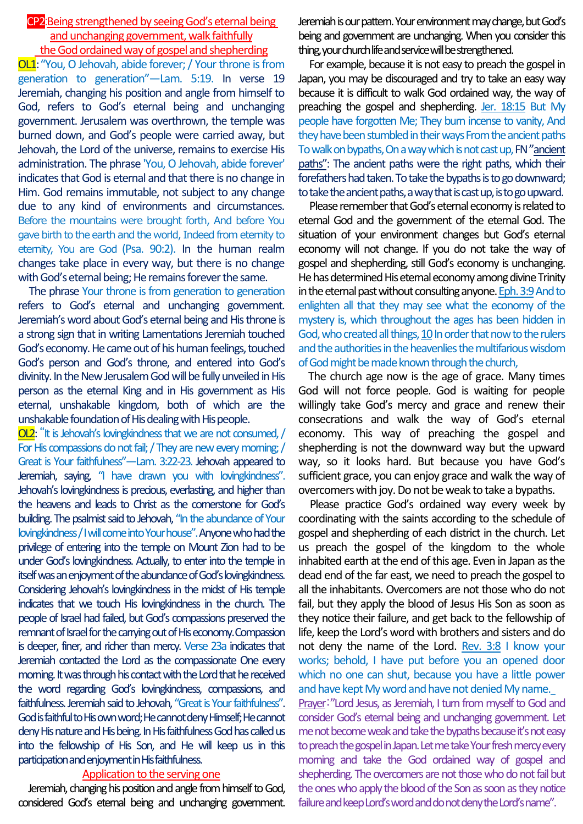#### CP2:Being strengthened by seeing God's eternal being and unchanging government, walk faithfully the God ordained way of gospel and shepherding

OL1:"You, O Jehovah, abide forever; / Your throne is from generation to generation"—Lam. 5:19. In verse 19 Jeremiah, changing his position and angle from himself to God, refers to God's eternal being and unchanging government. Jerusalem was overthrown, the temple was burned down, and God's people were carried away, but Jehovah, the Lord of the universe, remains to exercise His administration. The phrase 'You, O Jehovah, abide forever' indicates that God is eternal and that there is no change in Him. God remains immutable, not subject to any change due to any kind of environments and circumstances. Before the mountains were brought forth, And before You gave birth to the earth and the world, Indeed from eternity to eternity, You are God (Psa. 90:2). In the human realm changes take place in every way, but there is no change with God's eternal being; He remains forever the same.

The phrase Your throne is from generation to generation refers to God's eternal and unchanging government. Jeremiah's word about God's eternal being and His throne is a strong sign that in writing Lamentations Jeremiah touched God's economy. He came out of his human feelings, touched God's person and God's throne, and entered into God's divinity. In the New Jerusalem God will be fully unveiled in His person as the eternal King and in His government as His eternal, unshakable kingdom, both of which are the unshakable foundation of His dealing with His people.

OL2: "It is Jehovah's lovingkindness that we are not consumed, / For His compassions do not fail; / They are new every morning; / Great is Your faithfulness"—Lam. 3:22-23. Jehovah appeared to Jeremiah, saying, "I have drawn you with lovingkindness". Jehovah's lovingkindness is precious, everlasting, and higher than the heavens and leads to Christ as the cornerstone for God's building. The psalmist said to Jehovah, "In the abundance of Your lovingkindness / I will come into Your house".Anyone who had the privilege of entering into the temple on Mount Zion had to be under God's lovingkindness. Actually, to enter into the temple in itself was an enjoyment of the abundance of God's lovingkindness. Considering Jehovah's lovingkindness in the midst of His temple indicates that we touch His lovingkindness in the church. The people of Israel had failed, but God's compassions preserved the remnant of Israel for the carrying out of His economy.Compassion is deeper, finer, and richer than mercy. Verse 23a indicates that Jeremiah contacted the Lord as the compassionate One every morning. It was through his contact with the Lord that he received the word regarding God's lovingkindness, compassions, and faithfulness. Jeremiah said to Jehovah, "Great is Your faithfulness". God is faithful to His own word; He cannot deny Himself; He cannot deny His nature and His being. In His faithfulness God has called us into the fellowship of His Son, and He will keep us in this participation and enjoyment in His faithfulness.

### Application to the serving one

Jeremiah, changing his position and angle from himself to God, considered God's eternal being and unchanging government. Jeremiah is our pattern. Yourenvironment may change, but God's being and government are unchanging. When you consider this thing, your church life and service will be strengthened.

For example, because it is not easy to preach the gospel in Japan, you may be discouraged and try to take an easy way because it is difficult to walk God ordained way, the way of preaching the gospel and shepherding. Jer. 18:15 But My people have forgotten Me; They burn incense to vanity, And they have been stumbled in their ways From the ancient paths To walk on bypaths, On a way which is not cast up, FN"ancient paths": The ancient paths were the right paths, which their forefathers had taken. To take the bypaths is to go downward; to take the ancient paths, a way that is cast up, is to go upward.

Please remember that God's eternal economy is related to eternal God and the government of the eternal God. The situation of your environment changes but God's eternal economy will not change. If you do not take the way of gospel and shepherding, still God's economy is unchanging. He has determined His eternal economy among divine Trinity in the eternal past without consulting anyone. Eph. 3:9And to enlighten all that they may see what the economy of the mystery is, which throughout the ages has been hidden in God, who created all things, 10 In order that now to the rulers and the authorities in the heavenlies the multifarious wisdom of God might be made known through the church,

The church age now is the age of grace. Many times God will not force people. God is waiting for people willingly take God's mercy and grace and renew their consecrations and walk the way of God's eternal economy. This way of preaching the gospel and shepherding is not the downward way but the upward way, so it looks hard. But because you have God's sufficient grace, you can enjoy grace and walk the way of overcomers with joy. Do not be weak to take a bypaths.

Please practice God's ordained way every week by coordinating with the saints according to the schedule of gospel and shepherding of each district in the church. Let us preach the gospel of the kingdom to the whole inhabited earth at the end of this age. Even in Japan as the dead end of the far east, we need to preach the gospel to all the inhabitants. Overcomers are not those who do not fail, but they apply the blood of Jesus His Son as soon as they notice their failure, and get back to the fellowship of life, keep the Lord's word with brothers and sisters and do not deny the name of the Lord. Rev. 3:8 I know your works; behold, I have put before you an opened door which no one can shut, because you have a little power and have kept My word and have not denied My name. Prayer:"Lord Jesus, as Jeremiah, I turn from myself to God and consider God's eternal being and unchanging government. Let me not become weak and take the bypaths because it's not easy to preach the gospel in Japan. Let me take Your fresh mercy every morning and take the God ordained way of gospel and shepherding. The overcomers are not those who do not fail but the ones who apply the blood of the Son as soon as they notice failure and keep Lord's word and do not deny the Lord's name".